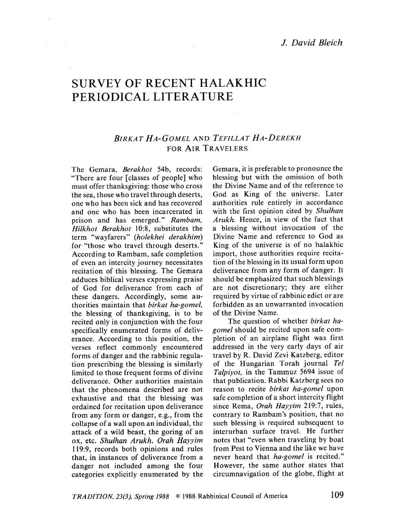# SURVEY OF RECENT HALAKHIC PERIODICAL LITERATURE

 $\sim 10^{-1}$ 

## BIRKAT HA-GOMEL AND TEFILLAT HA-DEREKH FOR AIR TRAVELERS

The Gemara, Berakhot 54b, records: "There are four [classes of people] who must offer thanksgiving: those who cross the sea, those who travel through deserts, onc who has been sick and has recovered and one who has been incarcerated in prison and has emerged." Rambam, Hilkhot Berakhot 10:8, substitutes the term "wayfarcrs" (holekhei derakhim) for "those who travel through deserts." According to Rambam, safe completion of even an intercity journey necessitates recitation of this blessing. The Gemara adduces biblical verses expressing praise of God for deliverance from each of these dangers. Accordingly, some authorities maintain that birkat ha-gomel, the blessing of thanksgiving, is to be recited only in conjunction with the four specifically enumerated forms of deliverance. According to this position, the verses reflect commonly encountered forms of danger and the rabbinic regulation prescribing the blessing is similarly limited to those frequent forms of divine deliverance. Other authorities maintain that the phenomena described are not exhaustive and that the blessing was ordained for recitation upon deliverance from any form or danger, e.g., from the collapse of a wall upon an individual, thc attack of a wild beast, the goring of an ox, etc. Shulhan Arukh. Orah Hayyim 119:9, records both opinions and rules that, in instances of dcliverance from a danger not included among the four categories explicitly enumerated by the Gemara, it is preferable to pronounce the blessing but with the omission of both the Divine Name and of the reference to God as King of the universe. Later authorities rule entirely in accordance with the first opinion cited by Shulhan Arukh. Hence, in view of the fact that a blessing without invocation of the Divine Name and reference to God as King of the universe is of no halakhic import, those authorities require recitation of the blessing in its usual form upon deliverance from any form of danger. It should be emphasized that such blessings are not discretionary; they are either required by virtue of rabbinic edict or are forbidden as an unwarranted invocation of the Divine Name.

The question of whether birkat hagomel should be recited upon safe completion of an airplane flight was first addressed in the very early days of air travel by R. David Zevi Katzberg, editor of the Hungarian Torah journal Tel Talpiyot, in the Tammuz 5694 issue of that publication. Rabbi Katzberg sees no reason to recite birkat ha-gomel upon safe completion of a short intercity flight since Rema, Orah Hayyim 219:7, rules, contrary to Rambam's position, that no such blessing is required subsequent to interurban surface travel. He further notes that "even when traveling by boat from Pest to Vienna and the like we have never heard that ha-gomel is recited." However, the same author states that circumnavigation of the globe, flight at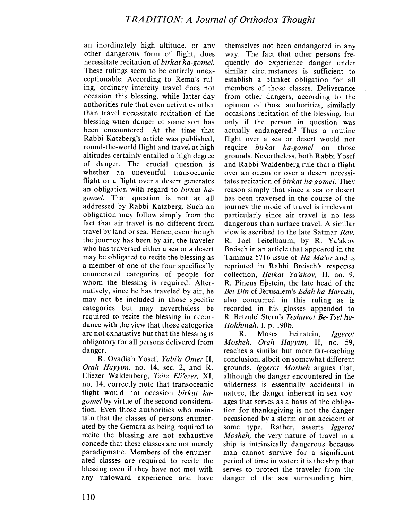an inordinately high altitude, or any other dangerous form of flight, does necessitate recitation of birkat ha-gomel. These rulings seem to be entirely unexceptionable: According to Rema's ruling, ordinary intercity travel does not occasion this blessing, while latter-day authorities rule that even activities other than travel necessitate recitation of the blessing when danger of some sort has been encountered. At the time that Rabbi Katzberg's article was published, round-the-world flight and travel at high altitudes certainly entailed a high degree of danger. The crucial question is whether an uneventful transoceanic flight or a flight over a desert generates an obligation with regard to birkat hagomel. That question is not at all addressed by Rabbi Katzberg. Such an obligation may follow simply from the fact that air travel is no different from travel by land or sea. Hence, even though the journey has been by air, the traveler who has traversed either a sea or a desert may be obligated to recite the blessing as a member of one of the four specifically enumerated categories of people for whom the blessing is required. Alternatively, since he has traveled by air, he may not be included in those specific categories but may nevertheless be required to recite the blessing in accordance with the view that those categories are not exhaustive but that the blessing is obligatory for all persons delivered from danger.

R. Ovadiah Yosef, Yabi'a Omer II, Orah Hayyim, no. 14, sec. 2, and R. Eliezer Waldenberg, Tzitz Eli'ezer, XI, no. 14, correctly note that transoceanic flight would not occasion birkat hagomel by virtue of the second consideration. Even those authorities who maintain that the classes of persons enumerated by the Gemara as being required to recite the blessing are not exhaustive concede that these classes are not merely paradigmatic. Members of the enumerated classes are required to recite the blessing even if thcy have not met with any untoward experience and have

themselves not been endangered in any way.' The fact that other persons frequently do experience danger under similar eircumstanees is sufficient to establish a blanket obligation for all members of those classes. Deliverance from other dangers, according to the opinion of those authorities, similarly occasions recitation of the blessing, but only if the person in qucstion was actually endangered.' Thus a routine flight over a sea or desert would not require *birkat ha-gomel* on those grounds. Nevertheless, both Rabbi Yosef and Rabbi Waldenberg rule that a flight over an ocean or over a desert necessitates recitation of birkat ha-gomel. They reason simply that since a sea or desert has been traversed in the course of the journey the mode of travel is irrelevant, particularly since air travel is no less dangerous than surface travel. A similar view is ascribed to the late Satmar Rav, R. Joel Teitelbaum, by R. Ya'akov Breisch in an article that appcarcd in the Tammuz 5716 issue of Ha-Ma'or and is reprinted in Rabbi Breisch's responsa collection, Helkat Ya'akov, II. no. 9. R. Pincus Epstein, the late head of thc Bet Din of Jerusalem's Edah ha-Haredit, also concurred in this ruling as is recorded in his glosses appended to R. Bctzalcl Stcrn's Teshuvot Be- Tsel ha- $Hokhmah, I, p. 190b.$ 

R. Moses Feinstein, Iggerot Mosheh, Orah Hayyim, II, no. 59, reaches a similar but more far-reaching conclusion, albeit on somewhat different grounds. 19gerot Mosheh argues that, although the danger encountered in the wilderness is essentially accidental in naturc, the danger inherent in sea voyages that serves as a basis of the obligation for thanksgiving is not the danger occasioned by a storm or an accident of some type. Rather, asserts Iggerot Mosheh, the very nature of travel in a ship is intrinsically dangerous because man cannot survive for a significant period of time in water; it is the ship that serves to protect the traveler from the danger of the sea surrounding him.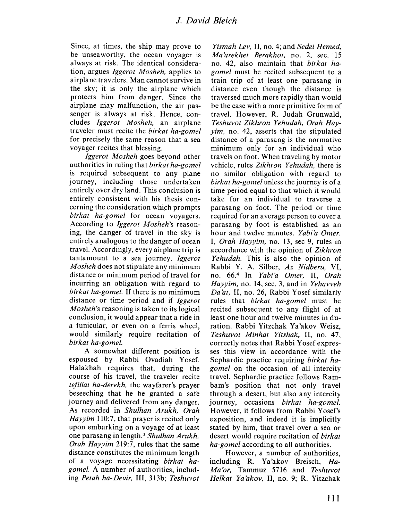Since, at times, the ship may prove to be unseaworthy, the ocean voyager is always at risk. The identical consideration, argues *Iggerot Mosheh*, applies to airplane travelers. Man cannot survive in the sky; it is only the airplane which protects him from danger. Since the airplane may malfunction, the air passenger is always at risk. Hence, concludes *Iggerot Mosheh*, an airplane traveler must recite the birkat ha-gomel for precisely the same reason that a sea voyager recites that blessing.

Iggerot Mosheh goes beyond other authorities in ruling that birkat ha-gomel is required subsequent to any plane journey, including those undertaken entirely over dry land. This conclusion is entirely consistent with his thesis conccrning the consideration which prompts birkat ha-gomel for ocean voyagers. According to Iggerot Mosheh's reasoning, thc danger of travel in the sky is entirely analogous to the danger of ocean travel. Accordingly, every airplane trip is tantamount to a sea journey. Iggerot Mosheh does not stipulate any minimum distance or minimum period of travel for incurring an obligation with regard to birkat ha-gomel. If there is no minimum distance or time period and if *Iggerot* Mosheh's reasoning is taken to its logical conclusion, it would appear that a ride in a funicular, or even on a ferris whcel, would similarly require recitation of birkat ha-gome/.

A somewhat different position is espoused by Rabbi Ovadiah Yosef. Halakhah requires that, during the course of his travel, the traveler recite tefillat ha-derekh, the wayfarer's prayer beseeching that he be grantcd a safe journey and delivered from any danger. As recorded in Shulhan Arukh, Orah Hayyim 110:7, that prayer is recited only upon embarking on a voyagc of at lcast one parasang in length.<sup>3</sup> Shulhan Arukh, Orah Hayyim 219:7, rules that the same distance constitutes thc minimum length of a voyage necessitating birkat hagome/. A number of authorities, including Petah ha-Devir, III, 313b; Teshuvot

Yismah Lev, II, no. 4; and Sedei Hemed, Ma'arekhet Berakhot, no. 2, sec. 15 no. 42, also maintain that birkat hagomel must be recited subsequent to a train trip of at least one parasang in distancc even though the distance is traversed much more rapidly than would be tbe case with a more primitive form of travel. However, R. Judah Grunwald, Teshuvot Zikhron Yehudah, Orah Hayyim. no. 42, asserts that the stipulated distance of a parasang is the normative minimum only for an individual who travels on foot. When traveling by motor vehicle, rules Zikhron Yehudah, there is no similar obligation with regard to birkat ha-gomel unless the journey is of a time period cqual to that which it would take for an individual to traverse a parasang on foot. The period or time required for an average person to cover a parasang by foot is establishcd as an hour and twelve minutes. Yabi'a Omer, I, Orah Hayyim, no. 13, sec 9, rules in accordance with the opinion of Zikhron Yehudah. This is also the opinion of Rabbi Y. A. Silber, Az Nidberu, VI, no. 66.<sup>4</sup> In Yabi'a Omer, II, Orah Hayyim, no. 14, sec. 3, and in Yehavveh Da'at, II, no. 26, Rabbi Yosef similarly rules that *birkat ha-gomel* must be recited subsequent to any flight of at least one hour and twelve minutes in duration. Rabbi Yitzchak Ya'akov Weisz, Teshuvot Minhat Yitshak, II, no. 47, correctly notes that Rabbi Y osef expresses this view in accordance with the Sephardic practice requiring birkat hagomel on the occasion of all intercity travel. Sephardic practice follows Rambam's position that not only travel through a desert, but also any intercity journey, occasions birkat ha-gomel. However, it follows from Rabbi Yosef's exposition, and indeed it is implicitly stated by him, that travel over a sea or desert would require recitation of birkat ha-gomel according to all authorities.

However, a number of authorities, including R. Ya'akov Breisch, Ha-Ma'or, Tammuz 5716 and Teshuvot Helkat Ya'akov, II, no. 9; R. Yitzchak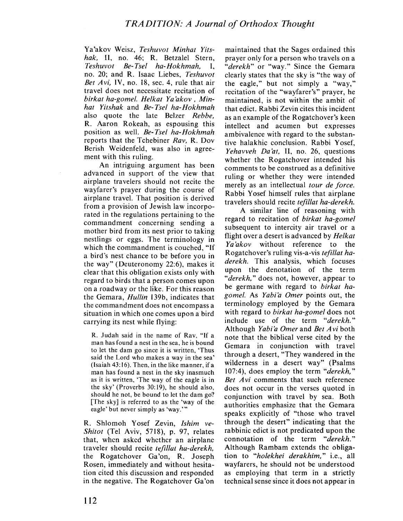Ya'akov Weisz, Teshuvot Minhat Yitshak, II, no. 46; R. Betzalel Stern, Teshuvot Be- Tsel ha-Hokhmah, 1, no. 20; and R. Isaac Liebes, Teshuvoi Bet Avi, IV, no. 18, sec. 4, rule that air travel does not necessitate recitation of birkat ha-gomel. lfelkat Ya'akov, Minhat Yitshak and Be-Tsel ha-Hokhmah also quote the late Belzer Rebbe, R. Aaron Rokeah, as espousing this position as well. Be-Tsel ha-Hokhmah reports that the Tchebiner Rav, R. Dov Berish Weidenfeld, was also in agreement with this ruling,

An intriguing argument has been advanced in support of the view that airplane travelers sbould not recite the wayfarer's prayer during the course of airplane travel. That position is derived from a provision of Jewish law incorporated in the regulations pertaining to the commandment conccrning sending a mother bird from its nest prior to taking nestlings or cggs. The terminology in which the commandment is couched, "If a bird's nest chance to be before you in the way" (Deuteronomy 22:6), makcs it clear that this obligation exists only with regard to birds that a person comes upon on a roadway or thc like. For this reason the Gemara, *Hullin* 139b, indicates that the commandment does not encompass a situation in which one comes upon a bird carrying its nest while flying:

R. Judah said in the name of Rav. "If a man has found a nest in the sea, he is bound to let the dam go since it is written, 'Thus said the Lord who makes a way in the sea' (Isaiah 43: 16). Then, in the like manner, if a man has found a nest in the sky inasmuch as it is written, 'The way of the eagle is in the sky' (Proverbs 30: 19), he should also, should he not, be bound to let the dam go? (The sky) is referred to as the 'way of the eagle' but never simply as 'way.'"

R. Shlomoh Yosef Zevin, Ishim ve-Shitot (Tel Aviv, 5718), p. 97, relates that, when askcd whcthcr an airplane traveler should recite *tefillat ha-derekh*, the Rogatchover Ga'on, R. Joseph Rosen, immediately and without hesitation cited this discussion and responded in the negative. The Rogatehover Ga'on

maintained that thc Sages ordained this prayer only for a person who travels on a "derekh" or "way." Since the Gemara clearly states that the sky is "the way of the eagle," but not simply a "way," recitation of thc "wayfarer's" prayer, he maintained, is not within the ambit of that edict. Rabbi Zevin cites this incident as an example of the Rogatchover's keen intellect and acumen but expresses ambivalence with regard to the substantive halakhic conclusion. Rabbi Yosef, Yehavveh Da'at, II, no. 26, questions whether the Rogatchover intended his comments to be construed as a definitive ruling or whether they were intended merely as an intellectual tour de force. Rabbi Yosef himself rules that airplane travelers should recite tefilat ha-derekh.

A similar line of reasoning with regard to recitation of birkat ha-gomel subsequent to intercity air travel or a flight over a desert is advanced by Helkat Ya'akov without reference to the Rogatchover's ruling vis-a-vis tefilat haderekh. This analysis, which focuses upon the denotation of the term "derekh," does not, however, appear to be germane with regard to birkat hagomel. As Yabi'a Omer points out, the terminology employed by the Gemara with regard to *birkat ha-gomel* does not include use of the term "derekh." Although Yabi'a Omer and Bet Avi both note that the biblical verse eited by the Gemara in conjunction with travel through a desert, "They wandered in the wilderness in a desert way" (Psalms 107:4), does employ the term "derekh," Bet Avi comments that such reference does not occur in the verses quoted in conjunction with travel by sea. Both authorities emphasize that the Gemara speaks explicitly of "those who travel through the desert" indicating that the rabbinic edict is not predicated upon the connotation of the term "derekh." Although Rambam extends the obligation to "holekhei derakhim," i.e., all wayfarers, he should not bc understood as employing that term in a strictly technical sense since it docs not appear in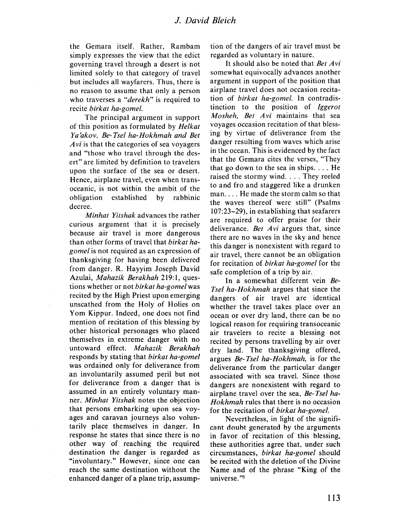#### 1. David Bleich

the Gemara itself. Rather, Rambam simply expresses the view that the edict governing travel through a desert is not limited solely to that category of travel but includes all wayfarers. Thus, there is no reason to assume that only a person who traverses a "derekh" is required to recite birkat ha-gomel.

The principal argument in support of this position as formulated by Helkat Ya'akov, Be-Tset ha-Hokhmah and Bet Avi is that the categories of sea voyagers and "those who travel through the descrt" are limited by definition to travelers upon the surface of the sea or desert. Hence, airplane travel, even when transoceanic, is not within the ambit of the obligation established by rabbinic decree.

Minhat Yitshak advances the rather curious argument that it is precisely because air travel is more dangerous than other forms of travel that birkat hagomel is not requircd as an cxprcssion of thanksgiving for having been delivered from danger. R. Hayyim Joseph David Azulai, Mahazik Berakhah 219:1, questions whether or not birkat ha-gomel was recited by the High Priest upon emerging unscathcd from thc Holy of Holics on Yom Kippur. Indeed, one does not find mention of recitation of this blessing by other historical personages who placed themselves in extreme danger with no untoward effect. Mahazik Berakhah responds by stating that birkat ha-gomel was ordained only for deliverance from an involuntarily assumed peril but not for deliverance from a danger that is assumed in an entirely voluntary manner. Minhat Yitshak notes the objection that persons embarking upon sea voyages and caravan journeys also voluntarily place themselves in danger. In response he states that since there is no other way of rcaching the required destination thc danger is regarded as "involuntary." However, since one can reach the same destination without the enhanced danger of a plane trip, assumption of the dangers of air travel must be regarded as voluntary in nature.

It should also be noted that Bet  $Avi$ somewhat equivocally advances another argument in support of the position that airplane travel does not occasion recitation of *birkat ha-gomel*. In contradistinction to the position of Iggerot Mosheh, Bet Avi maintains that sea voyages occasion recitation of that blessing by virtue of deliverance from the danger resulting from waves which arise in the occan. This is evidenced by the fact that the Gemara cites the verses, "They that go down to the sea in ships. . . . He raised the stormy wind. . . . They reeled to and fro and staggered likc a drunkcn man. . . . He made the storm calm so that the waves thereof were still" (Psalms 107:23-29), in establishing that seafarers are required to offer praise for their deliverance. Bet  $Avi$  argues that, since there are no waves in the sky and hence this danger is nonexistent with regard to air travel, there cannot be an obligation for recitation of *birkat ha-gomel* for the safe completion of a trip by air.

In a somewhat different vein Be-Tsel ha-Hokhmah argues that since the dangers of air travel are identical whether the travel takes place over an ocean or over dry land, there can be no logical reason for requiring transoceanic air travelers to recite a blessing not recited by persons travelling by air over dry land. The thanksgiving offered, argues Be-Tset ha-Hokhmah, is for thc deliverance from the particular danger associated with sea travel. Since those dangers are nonexistent with regard to airplane travel over the sea, Be-Tsel ha-Hokhmah rules that there is no occasion for the recitation of *birkat ha-gomel*.

Ncvertheless, in light of the significant doubt generated by the arguments in favor of recitation of this blessing, these authorities agree that, under such circumstances, birkat ha-gomel should be recited with the deletion of thc Divine Name and of the phrase "King of the universe."<sup>5</sup>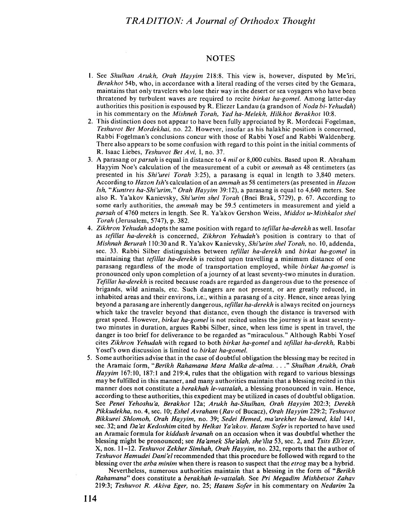#### **NOTES**

- 1. See Shulhan Arukh, Orah Hayyim 218:8. This view is, however, disputed by Me'iri, Berakhot 54b, who, in accordance with a literal reading of the verses cited by the Gemara, maintains that only travelers who lose their way in the desert or sea voyagers who have been threatened by turbulent waves are required to recite birkat ha-gomel. Among latter-day authorities this position is espoused by R. Eliezer Landau (a grandson of *Noda bi-Yehudah*) in his commentary on the Mishneh Torah, Yad ha-Melekh, Hilkhot Berakhot 10:8.
- 2. This distinction does not appear to have been fully appreciated by R. Mordecai Fogelman, Teshuvot Bet Mordekhai, no. 22. However, insofar as his halakhic position is concerned, Rabbi Fogelman's conclusions concur with thosc of Rabbi Yoscf and Rabbi Waldcnberg. There also appears to be some confusion with regard to this point in the initial comments of R. Isaac Liebes, Teshuvot Bet Avi, I, no. 37.
- 3. A parasang or *parsah* is equal in distance to 4 *mil* or 8,000 cubits. Based upon R. Abraham Hayyim Noe's calculation of the measurement of a cubit or *ammah* as 48 centimeters (as presented in his *Shi'urei Torah* 3:25), a parasang is equal in length to 3,840 meters. According to Hazon Ish's calculation of an ammah as 58 centimeters (as presented in Hazon Ish, "Kuntres ha-Shi'urim," Orah Hayyim 39:12), a parasang is equal to 4,640 meters. See also R. Ya'akov Kanievsky, Shi'urim shel Torah (Bnei Brak, 5729), p. 67. According to some early authorities, the *ammah* may be 59.5 centimeters in measurement and yield a parsah of 4760 meters in length. See R. Ya'akov Gershon Weiss, Middot u-Mishkalot shel Torah (Jerusalem, 5747). p. 382.
- 4. Zikhron Yehudah adopts the same position with regard to *tefillat ha-derekh* as well. Insofar as *tefillat ha-derekh* is concerned, Zikhron Yehudah's position is contrary to that of Mishnah Berurah 110:30 and R. Ya'akov Kanievsky, Shi'urim shel Torah, no. 10, addenda, sec. 33. Rabbi Silber distinguishes between *tefillat ha-derekh* and birkat ha-gomel in maintaining that *tefillat ha-derekh* is recited upon travelling a minimum distance of one parasang regardless of the mode of transportation employed, while birkat ha-gomel is pronounced only upon completion of a journey of at least seventy-two minutes in duration. Tefillat ha-derekh is recited because roads are regarded as dangerous due to the presence of brigands, wild animals, etc. Such dangers are not present, or are greatly reduced, in inhabited areas and their environs, i.e., within a parasang of a city. Hence, since areas lying beyond a parasang are inherently dangerous, *tefillat ha-derekh* is always recited on journeys which take the traveler beyond that distance, even though the distance is traversed with great speed. However, *birkat ha-gomel* is not recited unless the journey is at least seventytwo minutes in duration, argues Rabbi Silber, since, when less time is spent in travel, thc danger is too brief for deliverance to be regarded as "miraculous." Although Rabbi Y osef cites Zikhron Yehudah with regard to both birkat ha-gomel and tefillat ha-derekh, Rabbi Yosef's own discussion is limited to birkat ha-gomel.
- 5. Some authorities advise that in the case of doubtful obligation the blessing may be recited in the Aramaic form, "Berikh Rahamana Mara Malka de-alma. . . ." Shulhan Arukh, Orah Hayyim 167:10, 187:1 and 219:4, rules that the obligation with regard to various blessings may be fulfilled in this manner, and many authorities maintain that a blessing recited in this manner does not constitute a *berakhah le-vattalah*, a blessing pronounced in vain. Hence, according to these authorities, this expedient may be utilized in cases of doubtful obligation. See Penei Yehoshu'a, Berakhot 12a; Arukh ha-Shulhan, Orah Hayyim 202:3; Derekh Pikkudekha, no. 4, sec. 10; Eshel A vraham (Rav of Bucacz), Orah Hayyim 229:2; Teshuvoi Bikkurei Shlomoh, Orah Hayyim, no. 39; Sedei Hemed, ma'arekhel ha-Iamed, klal 141, sec. 32; and Da'at Kedoshim cited by Helkat Ya'akov. Hatam Sofer is reported to have used an Aramaic formula for kiddush levanah on an occasion when it was doubtful whether the blessing might be pronounced; see Ha'amek She'alah, she'ilta 53, sec. 2, and Tsits Eli'ezer, X, nos. 11-12. Teshuvot Zekher Simhah, Orah Hayyim, no. 232, reports that the author of Teshuvot Hamudei Dani'el recommended that this procedure be followed with regard to the blessing over the arba minim when there is reason to suspect that the etrog may be a hybrid.

Nevertheless, numerous authorities maintain that a blessing in the form of "Berikh" Rahamana" does constitute a berakhah le-vattalah. See Pri Megadim Mishbetsot Zahav 219:3; Teshuvot R. Akiva Eger, no. 25; Hatam Sofer in his commentary on Nedarim 2a